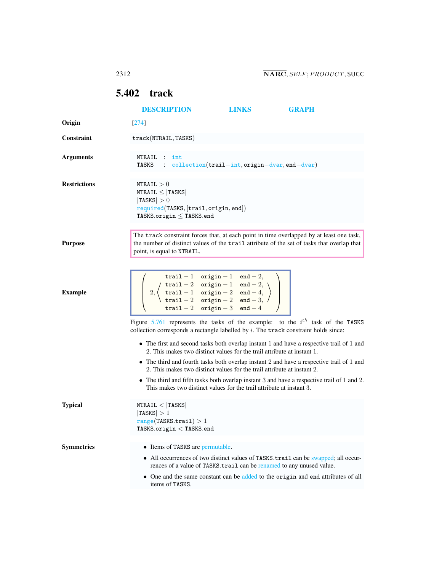## <span id="page-0-0"></span>5.402 track

|                     | <b>DESCRIPTION</b>                                                                                                                                                                                                                                                                                                                                                                        | <b>LINKS</b>                                                                                                                                                                  |  | <b>GRAPH</b>                                                                               |
|---------------------|-------------------------------------------------------------------------------------------------------------------------------------------------------------------------------------------------------------------------------------------------------------------------------------------------------------------------------------------------------------------------------------------|-------------------------------------------------------------------------------------------------------------------------------------------------------------------------------|--|--------------------------------------------------------------------------------------------|
| Origin              | $[274]$                                                                                                                                                                                                                                                                                                                                                                                   |                                                                                                                                                                               |  |                                                                                            |
| <b>Constraint</b>   | track(NTRAIL, TASKS)                                                                                                                                                                                                                                                                                                                                                                      |                                                                                                                                                                               |  |                                                                                            |
| <b>Arguments</b>    | NTRAIL :<br>int<br>: collection(trail-int, origin-dvar, end-dvar)<br>TASKS                                                                                                                                                                                                                                                                                                                |                                                                                                                                                                               |  |                                                                                            |
| <b>Restrictions</b> | NTRAIL > 0<br>$NTRAIL \leq  TASKS $<br> TASKS  > 0<br>required(TASKS, [trail, origin, end])<br>TASKS.origin $\leq$ TASKS.end                                                                                                                                                                                                                                                              |                                                                                                                                                                               |  |                                                                                            |
| <b>Purpose</b>      | The track constraint forces that, at each point in time overlapped by at least one task,<br>the number of distinct values of the trail attribute of the set of tasks that overlap that<br>point, is equal to NTRAIL.                                                                                                                                                                      |                                                                                                                                                                               |  |                                                                                            |
| <b>Example</b>      | $\texttt{trail} - 1 \quad \texttt{origin} - 1 \quad \texttt{end} - 2,$<br>2, $\left\{\n \begin{array}{ccc}\n \text{trial} - 2 & \text{origin} - 1 & \text{end} - 2, \\ \text{trial} - 1 & \text{origin} - 2 & \text{end} - 4, \\ \text{trial} - 2 & \text{origin} - 2 & \text{end} - 3,\n \end{array}\n\right\}$<br>$\texttt{trail} - 2 \quad \texttt{origin} - 3 \quad \texttt{end} - 4$ |                                                                                                                                                                               |  |                                                                                            |
|                     |                                                                                                                                                                                                                                                                                                                                                                                           | Figure 5.761 represents the tasks of the example: to the $i^{th}$ task of the TASKS<br>collection corresponds a rectangle labelled by $i$ . The track constraint holds since: |  |                                                                                            |
|                     | 2. This makes two distinct values for the trail attribute at instant 1.                                                                                                                                                                                                                                                                                                                   |                                                                                                                                                                               |  | • The first and second tasks both overlap instant 1 and have a respective trail of 1 and   |
|                     | • The third and fourth tasks both overlap instant 2 and have a respective trail of 1 and<br>2. This makes two distinct values for the trail attribute at instant 2.                                                                                                                                                                                                                       |                                                                                                                                                                               |  |                                                                                            |
|                     | This makes two distinct values for the trail attribute at instant 3.                                                                                                                                                                                                                                                                                                                      |                                                                                                                                                                               |  | • The third and fifth tasks both overlap instant 3 and have a respective trail of 1 and 2. |
| <b>Typical</b>      | NTRAIL <  TASKS <br> TASKS  > 1<br>range(TASKS.train) > 1<br>${\tt TASKS}.\texttt{origin} < {\tt TASKS}. \texttt{end}$                                                                                                                                                                                                                                                                    |                                                                                                                                                                               |  |                                                                                            |
| <b>Symmetries</b>   | • Items of TASKS are permutable.                                                                                                                                                                                                                                                                                                                                                          |                                                                                                                                                                               |  |                                                                                            |
|                     | rences of a value of TASKS.trail can be renamed to any unused value.                                                                                                                                                                                                                                                                                                                      |                                                                                                                                                                               |  | • All occurrences of two distinct values of TASKS.trail can be swapped; all occur-         |
|                     | items of TASKS.                                                                                                                                                                                                                                                                                                                                                                           |                                                                                                                                                                               |  | • One and the same constant can be added to the origin and end attributes of all           |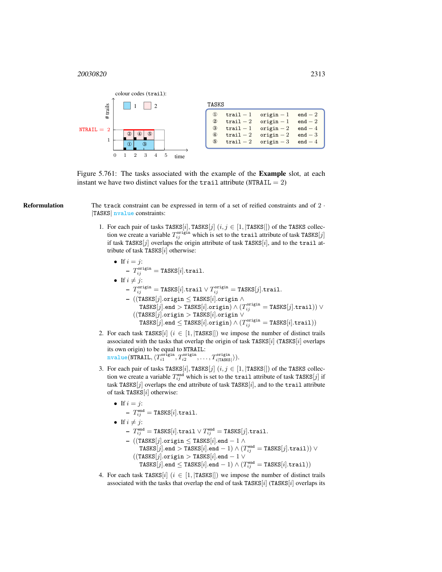

<span id="page-1-0"></span>Figure 5.761: The tasks associated with the example of the Example slot, at each instant we have two distinct values for the trail attribute (NTRAIL  $= 2$ )

**Reformulation** The track constraint can be expressed in term of a set of reified constraints and of  $2 \cdot$ |TASKS| nvalue constraints:

> 1. For each pair of tasks TASKS[i], TASKS[j]  $(i, j \in [1, |TASKS|])$  of the TASKS collection we create a variable  $T_{ij}^{\text{origin}}$  which is set to the trail attribute of task TASKS $[j]$ if task TASKS $[j]$  overlaps the origin attribute of task TASKS $[i]$ , and to the trail attribute of task TASKS $[i]$  otherwise:

\n- If 
$$
i = j
$$
:
\n- $T_{ij}^{\text{origin}} = \text{TASKS}[i].\text{trail.}$
\n- If  $i \neq j$ :
\n- $T_{ij}^{\text{origin}} = \text{TASKS}[i].\text{trail} \lor T_{ij}^{\text{origin}} = \text{TASKS}[j].\text{trail.}$
\n- $((\text{TASKS}[j].\text{origin} \leq \text{TASKS}[i].\text{origin} \land \text{TASKS}[j].\text{end} \gt \text{TASKS}[i].\text{origin}) \land (T_{ij}^{\text{origin}} = \text{TASKS}[j].\text{trail})) \lor ((\text{TASKS}[j].\text{origin} \geq \text{TASKS}[i].\text{origin} \lor \text{TASKS}[j].\text{origin} \geq \text{TASKS}[i].\text{origin}) \land (T_{ij}^{\text{origin}} = \text{TASKS}[i].\text{trail}))$
\n

- 2. For each task TASKS[i] ( $i \in [1, |TASKS|]$ ) we impose the number of distinct trails associated with the tasks that overlap the origin of task TASKS $[i]$  (TASKS $[i]$  overlaps its own origin) to be equal to NTRAIL:  $\texttt{nvalue}(\texttt{NTRAIL}, \langle T^{\texttt{origin}}_{i1}, T^{\texttt{origin}}_{i2}, \ldots, T^{\texttt{origin}}_{i|\texttt{TASK}|}\rangle).$
- 3. For each pair of tasks TASKS[i], TASKS[j]  $(i, j \in [1, |TASKS|])$  of the TASKS collection we create a variable  $T_{ij}^{\text{end}}$  which is set to the trail attribute of task TASKS  $[j]$  if task TASKS $[j]$  overlaps the end attribute of task TASKS $[i]$ , and to the trail attribute of task TASKS $[i]$  otherwise:

\n- If 
$$
i = j
$$
:  $-T_{ij}^{\text{end}} = \text{TASKS}[i].\text{trail.}$
\n- If  $i \neq j$ :  $-T_{ij}^{\text{end}} = \text{TASKS}[i].\text{trail } \lor T_{ij}^{\text{end}} = \text{TASKS}[j].\text{trail.}$
\n- ((TASKS[j].origin  $\leq$  TASKS[i].end  $-1 \land$  TASKS[j].end  $> \text{TASKS}[i].\text{end } -1 \land$  (TASKS[j].end  $= \text{TASKS}[i].\text{end } -1 \lor$  (TASKS[j].origin  $> \text{TASKS}[i].\text{end } -1 \lor$  TASKS[j].end  $\leq \text{TASKS}[i].\text{end } -1 \land (T_{ij}^{\text{end}} = \text{TASKS}[i].\text{train}))$
\n

4. For each task TASKS[i] ( $i \in [1, |TASKS|]$ ) we impose the number of distinct trails associated with the tasks that overlap the end of task TASKS $[i]$  (TASKS $[i]$  overlaps its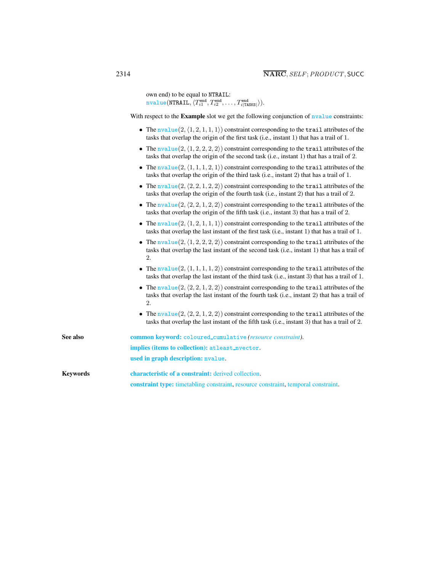own end) to be equal to NTRAIL:  $\texttt{nvalue}(\texttt{NTRAIL}, \langle T^{\texttt{end}}_{i1}, T^{\texttt{end}}_{i2}, \dots, T^{\texttt{end}}_{i|\texttt{TASKS}|} \rangle).$ 

With respect to the Example slot we get the following conjunction of **nvalue** constraints:

- The  $nvalue(2, (1, 2, 1, 1, 1))$  constraint corresponding to the trail attributes of the tasks that overlap the origin of the first task (i.e., instant 1) that has a trail of 1.
- The nvalue  $(2,\langle 1, 2, 2, 2, 2 \rangle)$  constraint corresponding to the trail attributes of the tasks that overlap the origin of the second task (i.e., instant 1) that has a trail of 2.
- The  $nvalue(2, (1, 1, 1, 2, 1))$  constraint corresponding to the trail attributes of the tasks that overlap the origin of the third task (i.e., instant 2) that has a trail of 1.
- The  $nvalue(2, \langle 2, 2, 1, 2, 2 \rangle)$  constraint corresponding to the trail attributes of the tasks that overlap the origin of the fourth task (i.e., instant 2) that has a trail of 2.
- The  $nvalue(2, \langle 2, 2, 1, 2, 2 \rangle)$  constraint corresponding to the trail attributes of the tasks that overlap the origin of the fifth task (i.e., instant 3) that has a trail of 2.
- The  $nvalue(2, (1, 2, 1, 1, 1))$  constraint corresponding to the trail attributes of the tasks that overlap the last instant of the first task (i.e., instant 1) that has a trail of 1.
- The  $nvalue(2, (1, 2, 2, 2, 2))$  constraint corresponding to the trail attributes of the tasks that overlap the last instant of the second task (i.e., instant 1) that has a trail of 2.
- The nvalue  $(2,\langle 1, 1, 1, 1, 2 \rangle)$  constraint corresponding to the trail attributes of the tasks that overlap the last instant of the third task (i.e., instant 3) that has a trail of 1.
- The  $nvalue(2, \langle 2, 2, 1, 2, 2 \rangle)$  constraint corresponding to the trail attributes of the tasks that overlap the last instant of the fourth task (i.e., instant 2) that has a trail of 2.
- The  $nvalue(2, \langle 2, 2, 1, 2, 2 \rangle)$  constraint corresponding to the trail attributes of the tasks that overlap the last instant of the fifth task (i.e., instant 3) that has a trail of 2.

<span id="page-2-0"></span>See also common keyword: coloured\_cumulative *(resource constraint)*. implies (items to collection): atleast nvector. used in graph description: nvalue.

Keywords characteristic of a constraint: derived collection. constraint type: timetabling constraint, resource constraint, temporal constraint.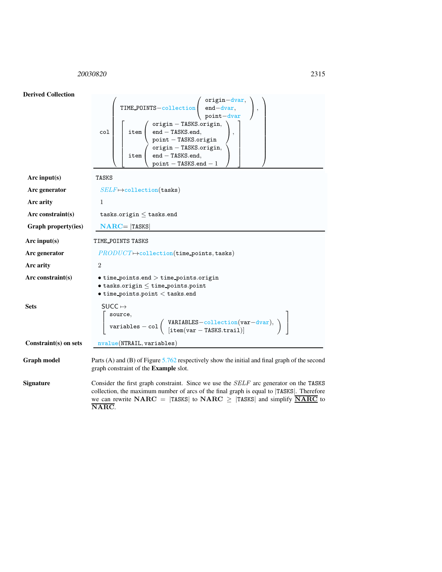## <span id="page-3-0"></span><sup>20030820</sup> 2315

| <b>Derived Collection</b> |                                                                                                                                                                                                                                                                                                    |  |  |  |
|---------------------------|----------------------------------------------------------------------------------------------------------------------------------------------------------------------------------------------------------------------------------------------------------------------------------------------------|--|--|--|
|                           | TIME_POINTS-collection end-dvar,<br>point-dvar,<br>point-dvar<br>$\acute{}$ origin — TASKS.origin,<br>$\mathsf{end} - \mathsf{TASKS}.\mathsf{end},$<br>col<br>item<br>$point - TASKS. origin$<br>origin - TASKS.origin,<br>end - TASKS.end,<br>item  <br>$point - TASKS.end - 1$                   |  |  |  |
| Arc input(s)              | <b>TASKS</b>                                                                                                                                                                                                                                                                                       |  |  |  |
| Arc generator             | $SELF \mapsto$ collection(tasks)                                                                                                                                                                                                                                                                   |  |  |  |
| Arc arity                 | $\mathbf{1}$                                                                                                                                                                                                                                                                                       |  |  |  |
| Arc constraint(s)         | tasks.origin $\leq$ tasks.end                                                                                                                                                                                                                                                                      |  |  |  |
| Graph property(ies)       | $\mathbf{NARC} =  \mathbf{TASKS} $                                                                                                                                                                                                                                                                 |  |  |  |
| Arc input $(s)$           | TIME_POINTS TASKS                                                                                                                                                                                                                                                                                  |  |  |  |
| Arc generator             | $PRODUCT \rightarrow collection(\texttt{time\_points}, \texttt{tasks})$                                                                                                                                                                                                                            |  |  |  |
| Arc arity                 | 2                                                                                                                                                                                                                                                                                                  |  |  |  |
| Arc constraint $(s)$      | $\bullet$ time_points.end $>$ time_points.origin<br>$\bullet$ tasks.origin $\leq$ time_points.point<br>$\bullet$ time_points.point $<$ tasks.end                                                                                                                                                   |  |  |  |
| <b>Sets</b>               | $SUCC \mapsto$<br>$\left[ \begin{array}{l} \texttt{source},\\ \texttt{variables} - \texttt{col} \left( \begin{array}{l} \texttt{VARIABLES}-\texttt{collection}(\texttt{var}-\texttt{dvar}),\\ \texttt{[item}(\texttt{var}-\texttt{TASKS}.\texttt{train})] \end{array} \right) \end{array} \right]$ |  |  |  |
| Constraint(s) on sets     | nvalue(NTRAIL, variables)                                                                                                                                                                                                                                                                          |  |  |  |
| <b>Graph model</b>        | Parts (A) and (B) of Figure $5.762$ respectively show the initial and final graph of the second<br>graph constraint of the Example slot.                                                                                                                                                           |  |  |  |
| Signature                 | Consider the first graph constraint. Since we use the $SELF$ arc generator on the TASKS                                                                                                                                                                                                            |  |  |  |

Signature Consider the first graph constraint. Since we use the SELF arc generator on the TASKS collection, the maximum number of arcs of the final graph is equal to |TASKS|. Therefore we can rewrite NARC = |TASKS| to NARC  $\geq$  |TASKS| and simplify  $\overline{\text{NARC}}$  to NARC.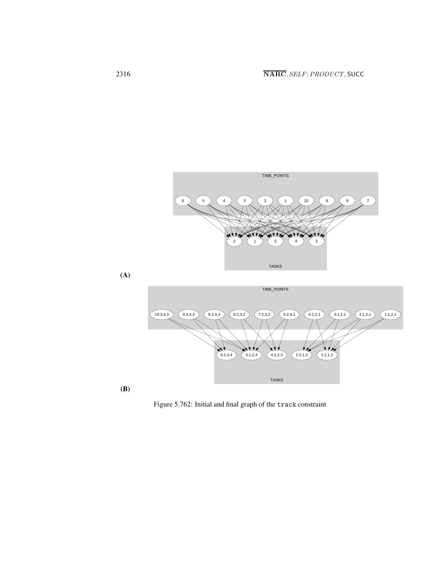

<span id="page-4-0"></span>Figure 5.762: Initial and final graph of the track constraint